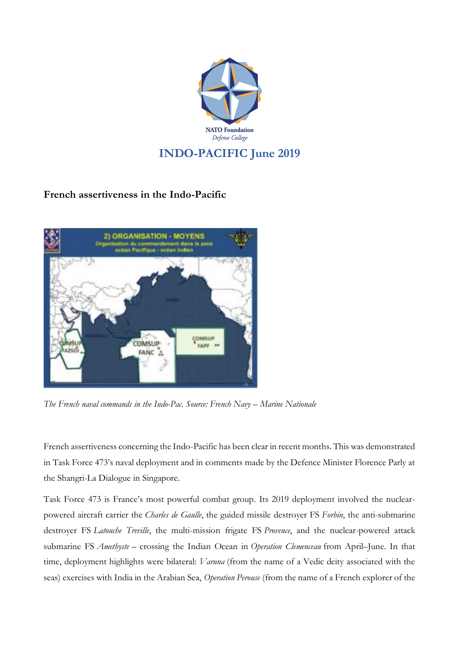

## **French assertiveness in the Indo-Pacific**



*The French naval commands in the Indo-Pac. Source: French Navy – Marine Nationale*

French assertiveness concerning the Indo-Pacific has been clear in recent months. This was demonstrated in Task Force 473's naval deployment and in comments made by the Defence Minister Florence Parly at the Shangri-La Dialogue in Singapore.

Task Force 473 is France's most powerful combat group. Its 2019 deployment involved the nuclearpowered aircraft carrier the *Charles de Gaulle*, the guided missile destroyer FS *Forbin*, the anti-submarine destroyer FS *Latouche Treville*, the multi-mission frigate FS *Provence*, and the nuclear-powered attack submarine FS *Amethyste* – crossing the Indian Ocean in *Operation Clemenceau* from April–June. In that time, deployment highlights were bilateral: *Varuna* (from the name of a Vedic deity associated with the seas) exercises with India in the Arabian Sea, *Operation Perouse* (from the name of a French explorer of the